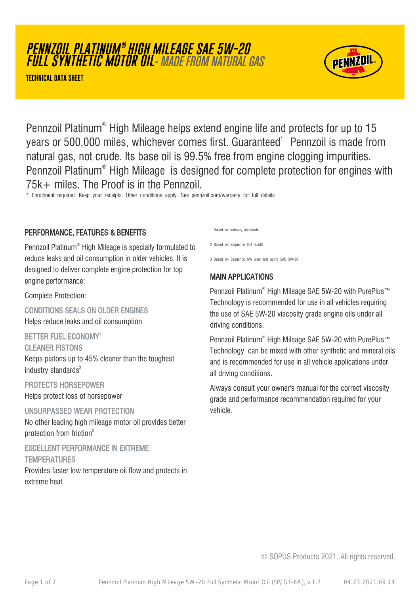# **PENNZOIL PLATINUM ® HIGH MILEAGE SAE 5W-20 FULL SYNTHETIC MOTOR OIL**- MADE FROM NATURAL GAS

**TECHNICAL DATA SHEET**



Pennzoil Platinum® High Mileage helps extend engine life and protects for up to 15 years or 500,000 miles, whichever comes first. Guaranteed\* Pennzoil is made from natural gas, not crude. Its base oil is 99.5% free from engine clogging impurities. Pennzoil Platinum® High Mileage is designed for complete protection for engines with 75k+ miles. The Proof is in the Pennzoil.

\* Enrollment required. Keep your receipts. Other conditions apply. See pennzoil.com/warranty for full details

#### PERFORMANCE, FEATURES & BENEFITS

Pennzoil Platinum® High Mileage is specially formulated to reduce leaks and oil consumption in older vehicles. It is designed to deliver complete engine protection for top engine performance:

Complete Protection:

CONDITIONS SEALS ON OLDER ENGINES Helps reduce leaks and oil consumption

BETTER FUEL ECONOMY<sup>1</sup>

CLEANER PISTONS

Keeps pistons up to 45% cleaner than the toughest industry standards $2$ 

PROTECTS HORSEPOWER Helps protect loss of horsepower

UNSURPASSED WEAR PROTECTION No other leading high mileage motor oil provides better protection from friction<sup>3</sup>

EXCELLENT PERFORMANCE IN EXTREME **TEMPERATURES** 

Provides faster low temperature oil flow and protects in extreme heat

1 Based on industry standards

2 Based on Sequence IIIH results

3 Based on Sequence IVA wear test using SAE 5W-30

#### MAIN APPLICATIONS

Pennzoil Platinum® High Mileage SAE 5W-20 with PurePlus™ Technology is recommended for use in all vehicles requiring the use of SAE 5W-20 viscosity grade engine oils under all driving conditions.

Pennzoil Platinum® High Mileage SAE 5W-20 with PurePlus™ Technology can be mixed with other synthetic and mineral oils and is recommended for use in all vehicle applications under all driving conditions.

Always consult your owner's manual for the correct viscosity grade and performance recommendation required for your vehicle.

© SOPUS Products 2021. All rights reserved.